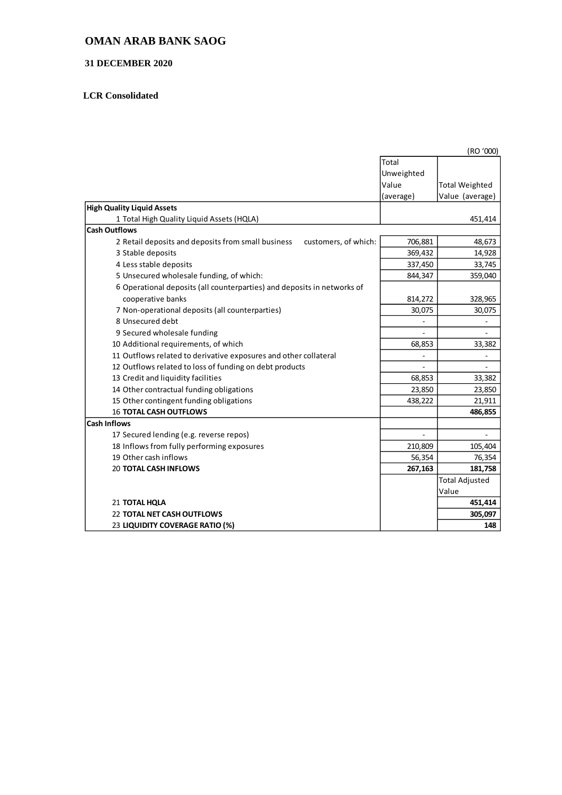## **OMAN ARAB BANK SAOG**

#### **31 DECEMBER 2020**

## **LCR Consolidated**

|                                                                            | (RO '000)  |                       |
|----------------------------------------------------------------------------|------------|-----------------------|
|                                                                            | Total      |                       |
|                                                                            | Unweighted |                       |
|                                                                            | Value      | <b>Total Weighted</b> |
|                                                                            | (average)  | Value (average)       |
| <b>High Quality Liquid Assets</b>                                          |            |                       |
| 1 Total High Quality Liquid Assets (HQLA)                                  |            | 451,414               |
| <b>Cash Outflows</b>                                                       |            |                       |
| 2 Retail deposits and deposits from small business<br>customers, of which: | 706,881    | 48,673                |
| 3 Stable deposits                                                          | 369,432    | 14,928                |
| 4 Less stable deposits                                                     | 337,450    | 33,745                |
| 5 Unsecured wholesale funding, of which:                                   | 844,347    | 359,040               |
| 6 Operational deposits (all counterparties) and deposits in networks of    |            |                       |
| cooperative banks                                                          | 814,272    | 328,965               |
| 7 Non-operational deposits (all counterparties)                            | 30,075     | 30,075                |
| 8 Unsecured debt                                                           |            |                       |
| 9 Secured wholesale funding                                                |            | ÷,                    |
| 10 Additional requirements, of which                                       | 68,853     | 33,382                |
| 11 Outflows related to derivative exposures and other collateral           |            |                       |
| 12 Outflows related to loss of funding on debt products                    |            |                       |
| 13 Credit and liquidity facilities                                         | 68,853     | 33,382                |
| 14 Other contractual funding obligations                                   | 23,850     | 23,850                |
| 15 Other contingent funding obligations                                    | 438,222    | 21,911                |
| <b>16 TOTAL CASH OUTFLOWS</b>                                              |            | 486,855               |
| <b>Cash Inflows</b>                                                        |            |                       |
| 17 Secured lending (e.g. reverse repos)                                    |            |                       |
| 18 Inflows from fully performing exposures                                 | 210,809    | 105,404               |
| 19 Other cash inflows                                                      | 56,354     | 76,354                |
| <b>20 TOTAL CASH INFLOWS</b>                                               | 267,163    | 181,758               |
|                                                                            |            | <b>Total Adjusted</b> |
|                                                                            |            | Value                 |
| 21 TOTAL HQLA                                                              |            | 451,414               |
| <b>22 TOTAL NET CASH OUTFLOWS</b>                                          |            | 305,097               |
| 23 LIQUIDITY COVERAGE RATIO (%)                                            |            | 148                   |